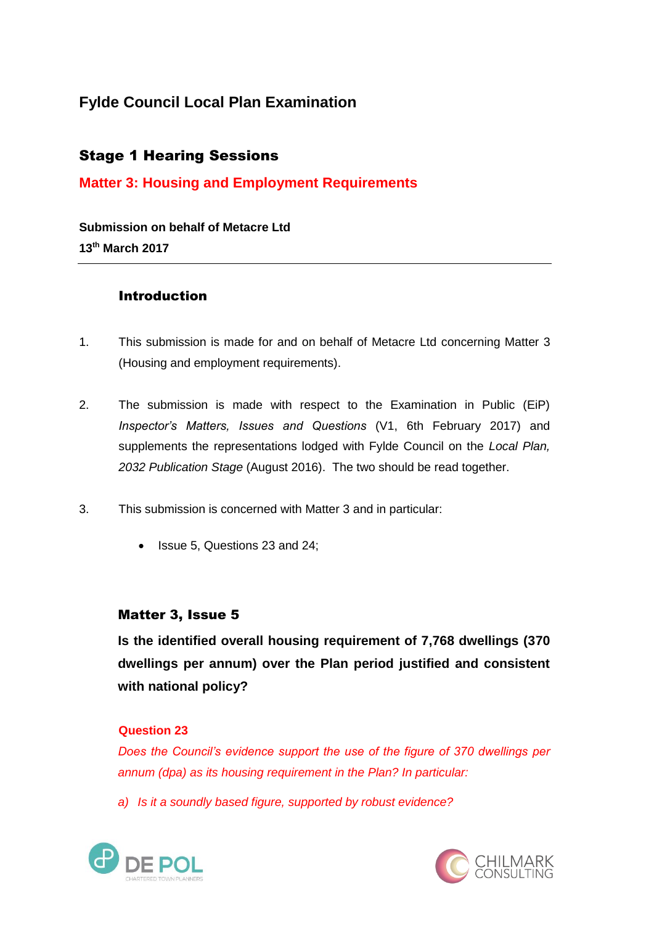# **Fylde Council Local Plan Examination**

# Stage 1 Hearing Sessions

# **Matter 3: Housing and Employment Requirements**

**Submission on behalf of Metacre Ltd 13th March 2017**

## Introduction

- 1. This submission is made for and on behalf of Metacre Ltd concerning Matter 3 (Housing and employment requirements).
- 2. The submission is made with respect to the Examination in Public (EiP) *Inspector's Matters, Issues and Questions* (V1, 6th February 2017) and supplements the representations lodged with Fylde Council on the *Local Plan, 2032 Publication Stage* (August 2016). The two should be read together.
- 3. This submission is concerned with Matter 3 and in particular:
	- Issue 5, Questions 23 and 24;

## Matter 3, Issue 5

**Is the identified overall housing requirement of 7,768 dwellings (370 dwellings per annum) over the Plan period justified and consistent with national policy?**

#### **Question 23**

*Does the Council's evidence support the use of the figure of 370 dwellings per annum (dpa) as its housing requirement in the Plan? In particular:*

*a) Is it a soundly based figure, supported by robust evidence?* 



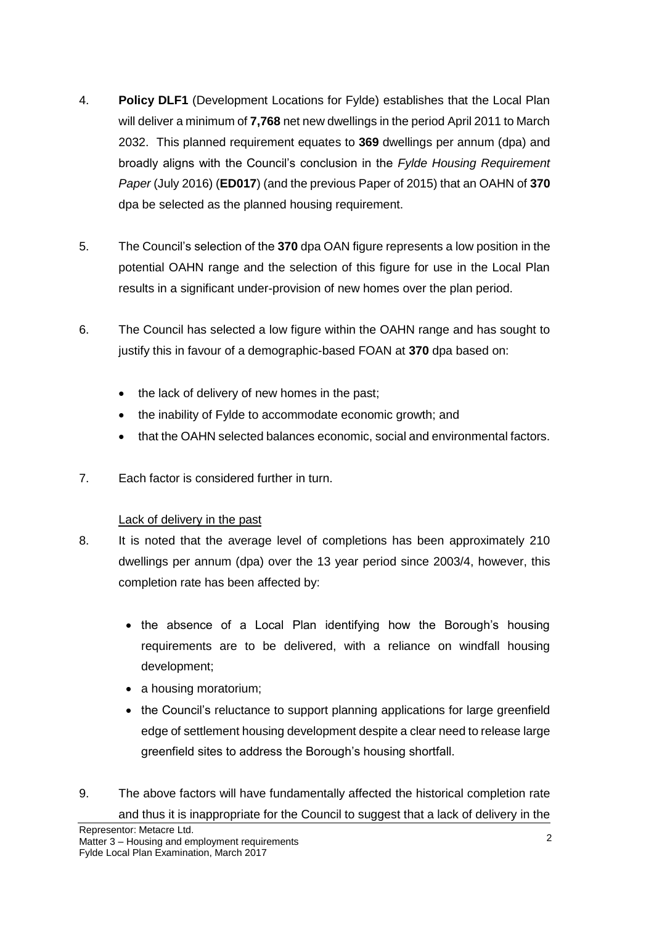- 4. **Policy DLF1** (Development Locations for Fylde) establishes that the Local Plan will deliver a minimum of **7,768** net new dwellings in the period April 2011 to March 2032. This planned requirement equates to **369** dwellings per annum (dpa) and broadly aligns with the Council's conclusion in the *Fylde Housing Requirement Paper* (July 2016) (**ED017**) (and the previous Paper of 2015) that an OAHN of **370** dpa be selected as the planned housing requirement.
- 5. The Council's selection of the **370** dpa OAN figure represents a low position in the potential OAHN range and the selection of this figure for use in the Local Plan results in a significant under-provision of new homes over the plan period.
- 6. The Council has selected a low figure within the OAHN range and has sought to justify this in favour of a demographic-based FOAN at **370** dpa based on:
	- the lack of delivery of new homes in the past;
	- the inability of Fylde to accommodate economic growth; and
	- that the OAHN selected balances economic, social and environmental factors.
- 7. Each factor is considered further in turn.

## Lack of delivery in the past

- 8. It is noted that the average level of completions has been approximately 210 dwellings per annum (dpa) over the 13 year period since 2003/4, however, this completion rate has been affected by:
	- the absence of a Local Plan identifying how the Borough's housing requirements are to be delivered, with a reliance on windfall housing development;
	- a housing moratorium;
	- the Council's reluctance to support planning applications for large greenfield edge of settlement housing development despite a clear need to release large greenfield sites to address the Borough's housing shortfall.
- 9. The above factors will have fundamentally affected the historical completion rate and thus it is inappropriate for the Council to suggest that a lack of delivery in the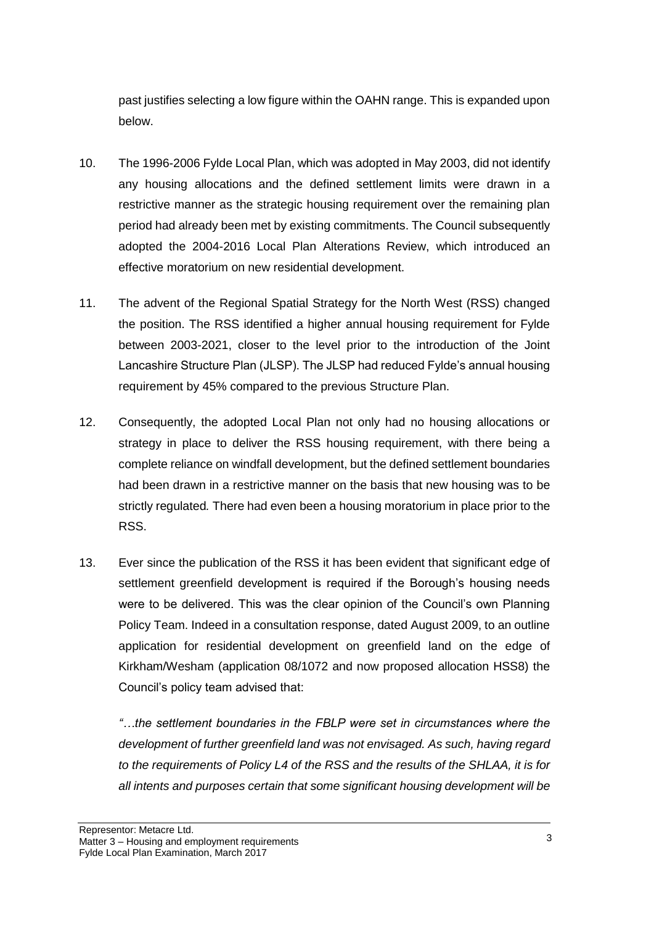past justifies selecting a low figure within the OAHN range. This is expanded upon below.

- 10. The 1996-2006 Fylde Local Plan, which was adopted in May 2003, did not identify any housing allocations and the defined settlement limits were drawn in a restrictive manner as the strategic housing requirement over the remaining plan period had already been met by existing commitments. The Council subsequently adopted the 2004-2016 Local Plan Alterations Review, which introduced an effective moratorium on new residential development.
- 11. The advent of the Regional Spatial Strategy for the North West (RSS) changed the position. The RSS identified a higher annual housing requirement for Fylde between 2003-2021, closer to the level prior to the introduction of the Joint Lancashire Structure Plan (JLSP). The JLSP had reduced Fylde's annual housing requirement by 45% compared to the previous Structure Plan.
- 12. Consequently, the adopted Local Plan not only had no housing allocations or strategy in place to deliver the RSS housing requirement, with there being a complete reliance on windfall development, but the defined settlement boundaries had been drawn in a restrictive manner on the basis that new housing was to be strictly regulated*.* There had even been a housing moratorium in place prior to the RSS.
- 13. Ever since the publication of the RSS it has been evident that significant edge of settlement greenfield development is required if the Borough's housing needs were to be delivered. This was the clear opinion of the Council's own Planning Policy Team. Indeed in a consultation response, dated August 2009, to an outline application for residential development on greenfield land on the edge of Kirkham/Wesham (application 08/1072 and now proposed allocation HSS8) the Council's policy team advised that:

*"…the settlement boundaries in the FBLP were set in circumstances where the development of further greenfield land was not envisaged. As such, having regard to the requirements of Policy L4 of the RSS and the results of the SHLAA, it is for all intents and purposes certain that some significant housing development will be*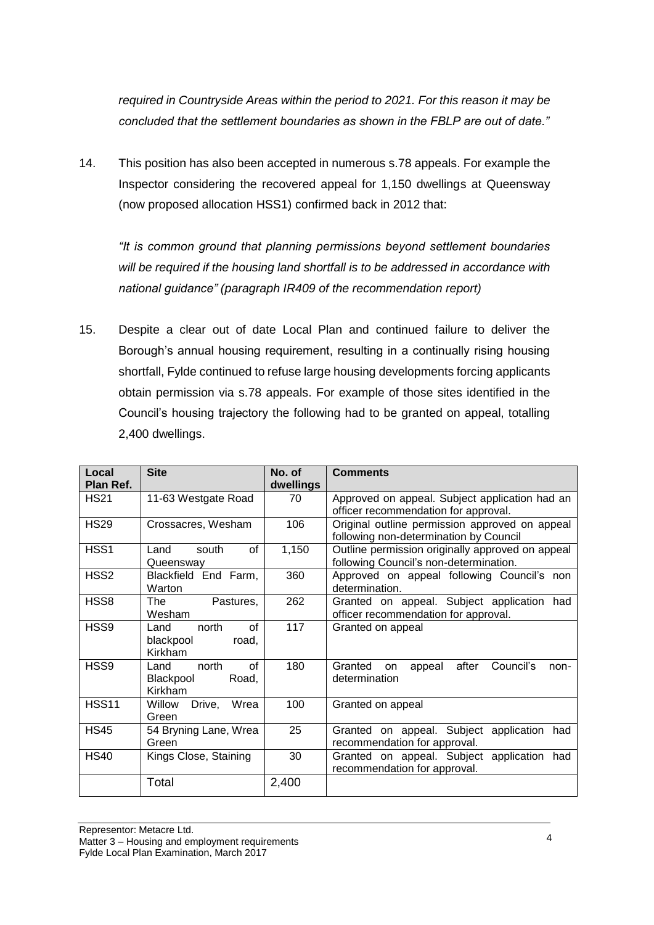*required in Countryside Areas within the period to 2021. For this reason it may be concluded that the settlement boundaries as shown in the FBLP are out of date."*

14. This position has also been accepted in numerous s.78 appeals. For example the Inspector considering the recovered appeal for 1,150 dwellings at Queensway (now proposed allocation HSS1) confirmed back in 2012 that:

*"It is common ground that planning permissions beyond settlement boundaries will be required if the housing land shortfall is to be addressed in accordance with national guidance" (paragraph IR409 of the recommendation report)*

15. Despite a clear out of date Local Plan and continued failure to deliver the Borough's annual housing requirement, resulting in a continually rising housing shortfall, Fylde continued to refuse large housing developments forcing applicants obtain permission via s.78 appeals. For example of those sites identified in the Council's housing trajectory the following had to be granted on appeal, totalling 2,400 dwellings.

| Local<br>Plan Ref. | <b>Site</b>                                          | No. of<br>dwellings | <b>Comments</b>                                                                            |  |  |  |  |  |  |  |  |
|--------------------|------------------------------------------------------|---------------------|--------------------------------------------------------------------------------------------|--|--|--|--|--|--|--|--|
| <b>HS21</b>        | 11-63 Westgate Road                                  | 70                  | Approved on appeal. Subject application had an<br>officer recommendation for approval.     |  |  |  |  |  |  |  |  |
| <b>HS29</b>        | Crossacres, Wesham                                   | 106                 | Original outline permission approved on appeal<br>following non-determination by Council   |  |  |  |  |  |  |  |  |
| HSS1               | of<br>Land<br>south<br>Queensway                     | 1,150               | Outline permission originally approved on appeal<br>following Council's non-determination. |  |  |  |  |  |  |  |  |
| HSS <sub>2</sub>   | Blackfield End Farm,<br>Warton                       | 360                 | Approved on appeal following Council's non<br>determination.                               |  |  |  |  |  |  |  |  |
| HSS8               | The<br>Pastures,<br>Wesham                           | 262                 | Granted on appeal. Subject application had<br>officer recommendation for approval.         |  |  |  |  |  |  |  |  |
| HSS9               | of<br>Land<br>north<br>blackpool<br>road,<br>Kirkham | 117                 | Granted on appeal                                                                          |  |  |  |  |  |  |  |  |
| HSS9               | north<br>of<br>Land<br>Blackpool<br>Road,<br>Kirkham | 180                 | Granted<br>after<br>Council's<br>appeal<br>on<br>non-<br>determination                     |  |  |  |  |  |  |  |  |
| <b>HSS11</b>       | Willow<br>Drive,<br>Wrea<br>Green                    | 100                 | Granted on appeal                                                                          |  |  |  |  |  |  |  |  |
| <b>HS45</b>        | 54 Bryning Lane, Wrea<br>Green                       | 25                  | Granted on appeal. Subject application had<br>recommendation for approval.                 |  |  |  |  |  |  |  |  |
| <b>HS40</b>        | Kings Close, Staining                                | 30                  | Granted on appeal. Subject application had<br>recommendation for approval.                 |  |  |  |  |  |  |  |  |
|                    | Total                                                | 2,400               |                                                                                            |  |  |  |  |  |  |  |  |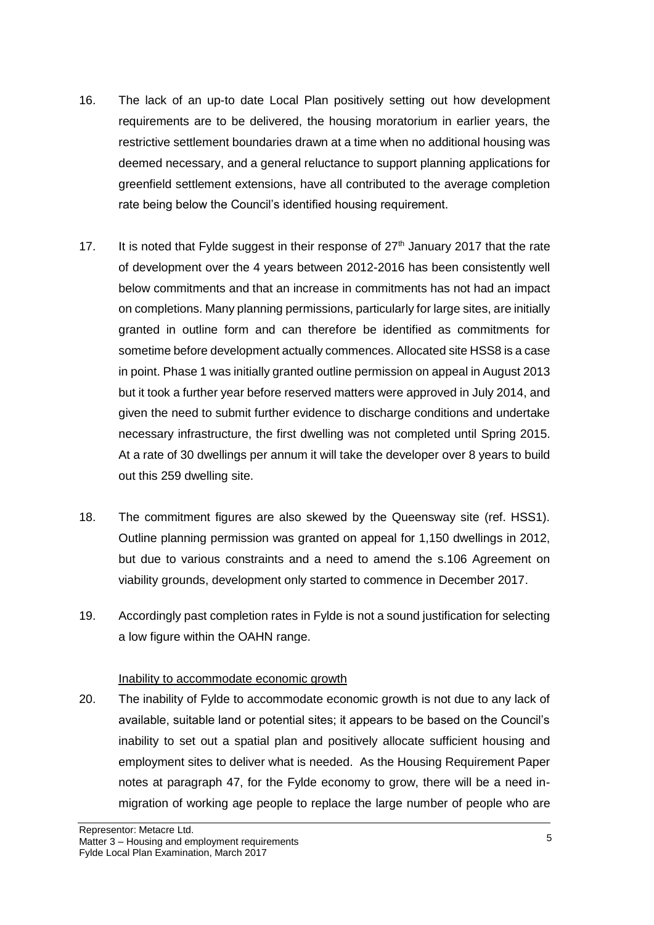- 16. The lack of an up-to date Local Plan positively setting out how development requirements are to be delivered, the housing moratorium in earlier years, the restrictive settlement boundaries drawn at a time when no additional housing was deemed necessary, and a general reluctance to support planning applications for greenfield settlement extensions, have all contributed to the average completion rate being below the Council's identified housing requirement.
- 17. It is noted that Fylde suggest in their response of  $27<sup>th</sup>$  January 2017 that the rate of development over the 4 years between 2012-2016 has been consistently well below commitments and that an increase in commitments has not had an impact on completions. Many planning permissions, particularly for large sites, are initially granted in outline form and can therefore be identified as commitments for sometime before development actually commences. Allocated site HSS8 is a case in point. Phase 1 was initially granted outline permission on appeal in August 2013 but it took a further year before reserved matters were approved in July 2014, and given the need to submit further evidence to discharge conditions and undertake necessary infrastructure, the first dwelling was not completed until Spring 2015. At a rate of 30 dwellings per annum it will take the developer over 8 years to build out this 259 dwelling site.
- 18. The commitment figures are also skewed by the Queensway site (ref. HSS1). Outline planning permission was granted on appeal for 1,150 dwellings in 2012, but due to various constraints and a need to amend the s.106 Agreement on viability grounds, development only started to commence in December 2017.
- 19. Accordingly past completion rates in Fylde is not a sound justification for selecting a low figure within the OAHN range.

#### Inability to accommodate economic growth

20. The inability of Fylde to accommodate economic growth is not due to any lack of available, suitable land or potential sites; it appears to be based on the Council's inability to set out a spatial plan and positively allocate sufficient housing and employment sites to deliver what is needed. As the Housing Requirement Paper notes at paragraph 47, for the Fylde economy to grow, there will be a need inmigration of working age people to replace the large number of people who are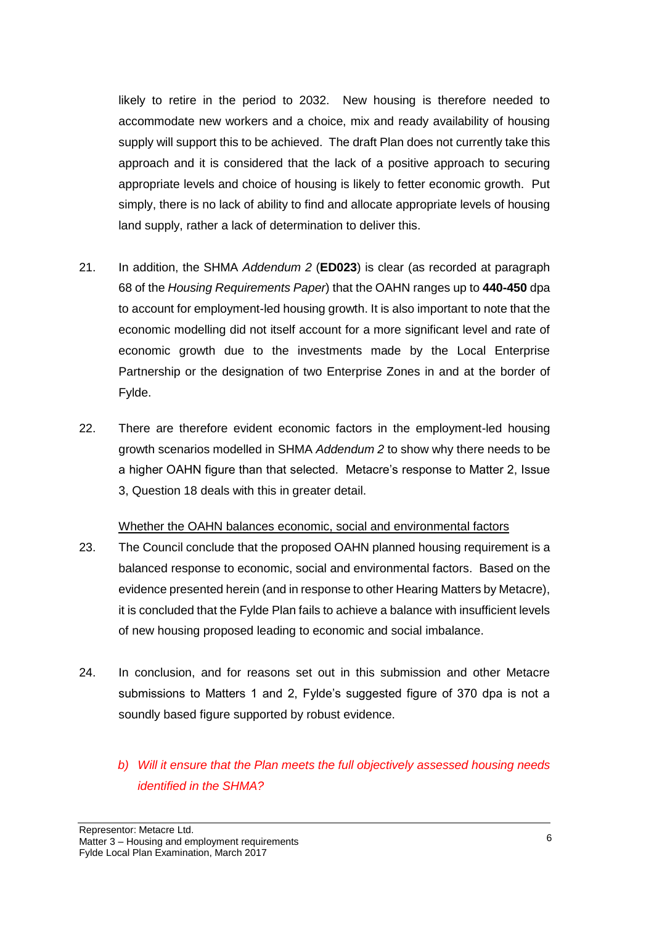likely to retire in the period to 2032. New housing is therefore needed to accommodate new workers and a choice, mix and ready availability of housing supply will support this to be achieved. The draft Plan does not currently take this approach and it is considered that the lack of a positive approach to securing appropriate levels and choice of housing is likely to fetter economic growth. Put simply, there is no lack of ability to find and allocate appropriate levels of housing land supply, rather a lack of determination to deliver this.

- 21. In addition, the SHMA *Addendum 2* (**ED023**) is clear (as recorded at paragraph 68 of the *Housing Requirements Paper*) that the OAHN ranges up to **440-450** dpa to account for employment-led housing growth. It is also important to note that the economic modelling did not itself account for a more significant level and rate of economic growth due to the investments made by the Local Enterprise Partnership or the designation of two Enterprise Zones in and at the border of Fylde.
- 22. There are therefore evident economic factors in the employment-led housing growth scenarios modelled in SHMA *Addendum 2* to show why there needs to be a higher OAHN figure than that selected. Metacre's response to Matter 2, Issue 3, Question 18 deals with this in greater detail.

#### Whether the OAHN balances economic, social and environmental factors

- 23. The Council conclude that the proposed OAHN planned housing requirement is a balanced response to economic, social and environmental factors. Based on the evidence presented herein (and in response to other Hearing Matters by Metacre), it is concluded that the Fylde Plan fails to achieve a balance with insufficient levels of new housing proposed leading to economic and social imbalance.
- 24. In conclusion, and for reasons set out in this submission and other Metacre submissions to Matters 1 and 2, Fylde's suggested figure of 370 dpa is not a soundly based figure supported by robust evidence.
	- *b) Will it ensure that the Plan meets the full objectively assessed housing needs identified in the SHMA?*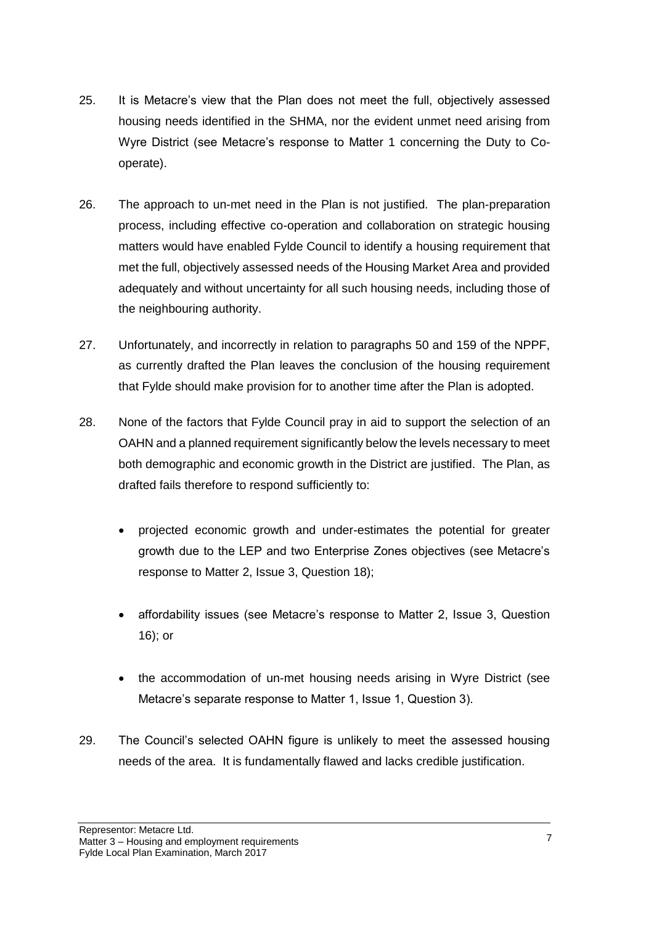- 25. It is Metacre's view that the Plan does not meet the full, objectively assessed housing needs identified in the SHMA, nor the evident unmet need arising from Wyre District (see Metacre's response to Matter 1 concerning the Duty to Cooperate).
- 26. The approach to un-met need in the Plan is not justified. The plan-preparation process, including effective co-operation and collaboration on strategic housing matters would have enabled Fylde Council to identify a housing requirement that met the full, objectively assessed needs of the Housing Market Area and provided adequately and without uncertainty for all such housing needs, including those of the neighbouring authority.
- 27. Unfortunately, and incorrectly in relation to paragraphs 50 and 159 of the NPPF, as currently drafted the Plan leaves the conclusion of the housing requirement that Fylde should make provision for to another time after the Plan is adopted.
- 28. None of the factors that Fylde Council pray in aid to support the selection of an OAHN and a planned requirement significantly below the levels necessary to meet both demographic and economic growth in the District are justified. The Plan, as drafted fails therefore to respond sufficiently to:
	- projected economic growth and under-estimates the potential for greater growth due to the LEP and two Enterprise Zones objectives (see Metacre's response to Matter 2, Issue 3, Question 18);
	- affordability issues (see Metacre's response to Matter 2, Issue 3, Question 16); or
	- the accommodation of un-met housing needs arising in Wyre District (see Metacre's separate response to Matter 1, Issue 1, Question 3).
- 29. The Council's selected OAHN figure is unlikely to meet the assessed housing needs of the area. It is fundamentally flawed and lacks credible justification.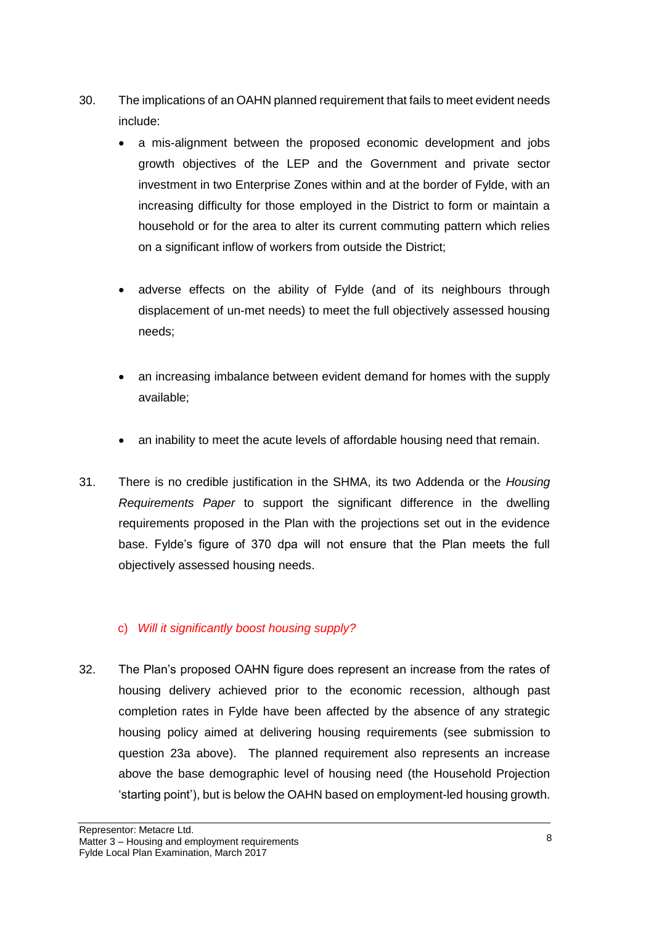- 30. The implications of an OAHN planned requirement that fails to meet evident needs include:
	- a mis-alignment between the proposed economic development and jobs growth objectives of the LEP and the Government and private sector investment in two Enterprise Zones within and at the border of Fylde, with an increasing difficulty for those employed in the District to form or maintain a household or for the area to alter its current commuting pattern which relies on a significant inflow of workers from outside the District;
	- adverse effects on the ability of Fylde (and of its neighbours through displacement of un-met needs) to meet the full objectively assessed housing needs;
	- an increasing imbalance between evident demand for homes with the supply available;
	- an inability to meet the acute levels of affordable housing need that remain.
- 31. There is no credible justification in the SHMA, its two Addenda or the *Housing Requirements Paper* to support the significant difference in the dwelling requirements proposed in the Plan with the projections set out in the evidence base. Fylde's figure of 370 dpa will not ensure that the Plan meets the full objectively assessed housing needs.

## c) *Will it significantly boost housing supply?*

32. The Plan's proposed OAHN figure does represent an increase from the rates of housing delivery achieved prior to the economic recession, although past completion rates in Fylde have been affected by the absence of any strategic housing policy aimed at delivering housing requirements (see submission to question 23a above). The planned requirement also represents an increase above the base demographic level of housing need (the Household Projection 'starting point'), but is below the OAHN based on employment-led housing growth.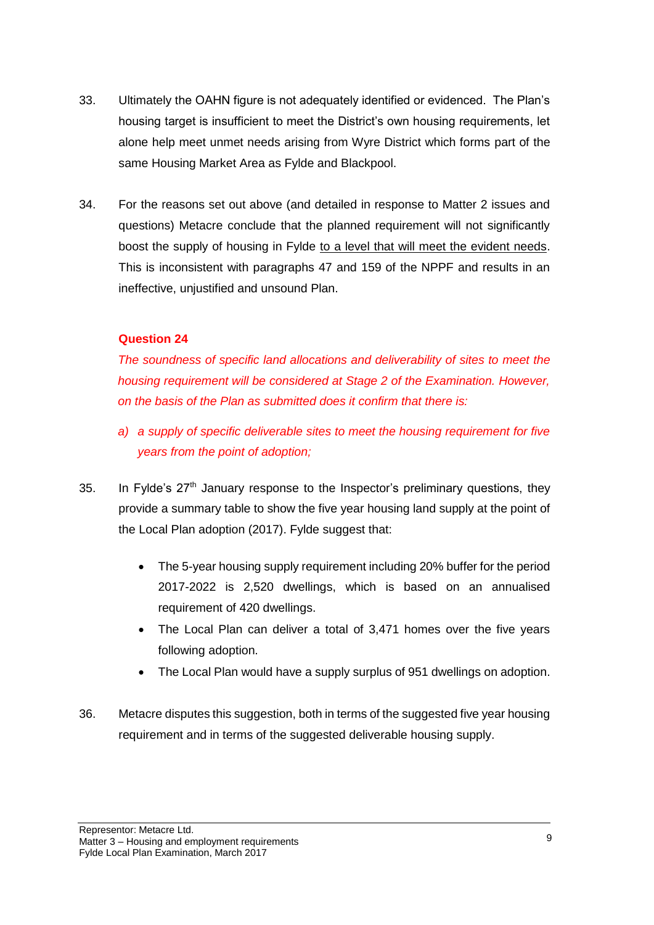- 33. Ultimately the OAHN figure is not adequately identified or evidenced. The Plan's housing target is insufficient to meet the District's own housing requirements, let alone help meet unmet needs arising from Wyre District which forms part of the same Housing Market Area as Fylde and Blackpool.
- 34. For the reasons set out above (and detailed in response to Matter 2 issues and questions) Metacre conclude that the planned requirement will not significantly boost the supply of housing in Fylde to a level that will meet the evident needs. This is inconsistent with paragraphs 47 and 159 of the NPPF and results in an ineffective, unjustified and unsound Plan.

#### **Question 24**

*The soundness of specific land allocations and deliverability of sites to meet the housing requirement will be considered at Stage 2 of the Examination. However, on the basis of the Plan as submitted does it confirm that there is:*

- *a) a supply of specific deliverable sites to meet the housing requirement for five years from the point of adoption;*
- 35. In Fylde's 27th January response to the Inspector's preliminary questions, they provide a summary table to show the five year housing land supply at the point of the Local Plan adoption (2017). Fylde suggest that:
	- The 5-year housing supply requirement including 20% buffer for the period 2017-2022 is 2,520 dwellings, which is based on an annualised requirement of 420 dwellings.
	- The Local Plan can deliver a total of 3,471 homes over the five years following adoption.
	- The Local Plan would have a supply surplus of 951 dwellings on adoption.
- 36. Metacre disputes this suggestion, both in terms of the suggested five year housing requirement and in terms of the suggested deliverable housing supply.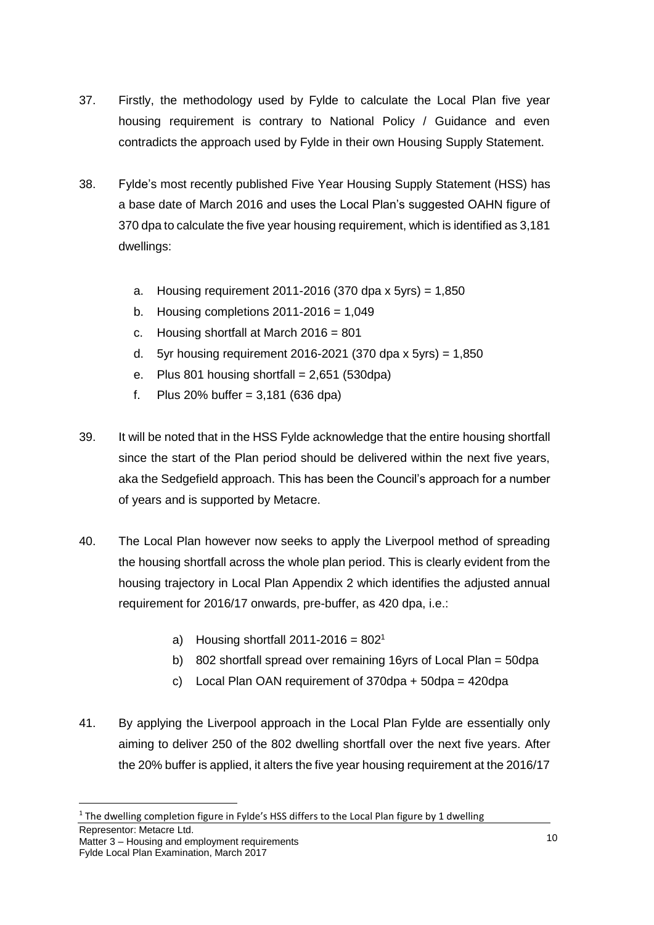- 37. Firstly, the methodology used by Fylde to calculate the Local Plan five year housing requirement is contrary to National Policy / Guidance and even contradicts the approach used by Fylde in their own Housing Supply Statement.
- 38. Fylde's most recently published Five Year Housing Supply Statement (HSS) has a base date of March 2016 and uses the Local Plan's suggested OAHN figure of 370 dpa to calculate the five year housing requirement, which is identified as 3,181 dwellings:
	- a. Housing requirement 2011-2016 (370 dpa x 5yrs) =  $1,850$
	- b. Housing completions  $2011 2016 = 1,049$
	- c. Housing shortfall at March 2016 = 801
	- d. 5yr housing requirement 2016-2021 (370 dpa x 5yrs) =  $1,850$
	- e. Plus 801 housing shortfall =  $2,651$  (530dpa)
	- f. Plus 20% buffer = 3,181 (636 dpa)
- 39. It will be noted that in the HSS Fylde acknowledge that the entire housing shortfall since the start of the Plan period should be delivered within the next five years, aka the Sedgefield approach. This has been the Council's approach for a number of years and is supported by Metacre.
- 40. The Local Plan however now seeks to apply the Liverpool method of spreading the housing shortfall across the whole plan period. This is clearly evident from the housing trajectory in Local Plan Appendix 2 which identifies the adjusted annual requirement for 2016/17 onwards, pre-buffer, as 420 dpa, i.e.:
	- a) Housing shortfall  $2011-2016 = 802<sup>1</sup>$
	- b) 802 shortfall spread over remaining 16yrs of Local Plan = 50dpa
	- c) Local Plan OAN requirement of  $370$ dpa +  $50$ dpa =  $420$ dpa
- 41. By applying the Liverpool approach in the Local Plan Fylde are essentially only aiming to deliver 250 of the 802 dwelling shortfall over the next five years. After the 20% buffer is applied, it alters the five year housing requirement at the 2016/17

**.** 

<sup>&</sup>lt;sup>1</sup> The dwelling completion figure in Fylde's HSS differs to the Local Plan figure by 1 dwelling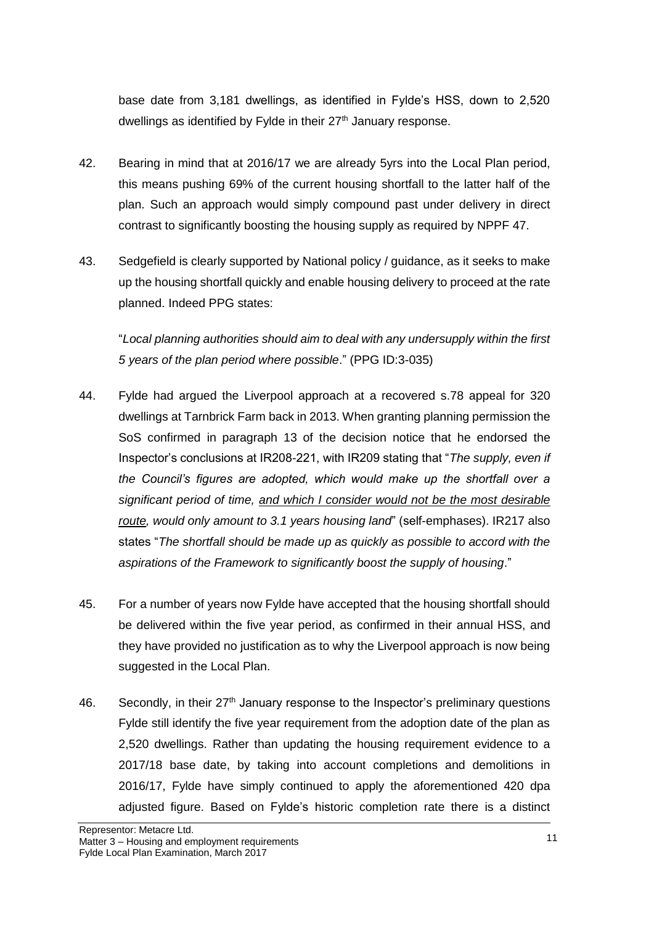base date from 3,181 dwellings, as identified in Fylde's HSS, down to 2,520 dwellings as identified by Fylde in their  $27<sup>th</sup>$  January response.

- 42. Bearing in mind that at 2016/17 we are already 5yrs into the Local Plan period, this means pushing 69% of the current housing shortfall to the latter half of the plan. Such an approach would simply compound past under delivery in direct contrast to significantly boosting the housing supply as required by NPPF 47.
- 43. Sedgefield is clearly supported by National policy / guidance, as it seeks to make up the housing shortfall quickly and enable housing delivery to proceed at the rate planned. Indeed PPG states:

"*Local planning authorities should aim to deal with any undersupply within the first 5 years of the plan period where possible*." (PPG ID:3-035)

- 44. Fylde had argued the Liverpool approach at a recovered s.78 appeal for 320 dwellings at Tarnbrick Farm back in 2013. When granting planning permission the SoS confirmed in paragraph 13 of the decision notice that he endorsed the Inspector's conclusions at IR208-221, with IR209 stating that "*The supply, even if the Council's figures are adopted, which would make up the shortfall over a significant period of time, and which I consider would not be the most desirable route, would only amount to 3.1 years housing land*" (self-emphases). IR217 also states "*The shortfall should be made up as quickly as possible to accord with the aspirations of the Framework to significantly boost the supply of housing*."
- 45. For a number of years now Fylde have accepted that the housing shortfall should be delivered within the five year period, as confirmed in their annual HSS, and they have provided no justification as to why the Liverpool approach is now being suggested in the Local Plan.
- 46. Secondly, in their  $27<sup>th</sup>$  January response to the Inspector's preliminary questions Fylde still identify the five year requirement from the adoption date of the plan as 2,520 dwellings. Rather than updating the housing requirement evidence to a 2017/18 base date, by taking into account completions and demolitions in 2016/17, Fylde have simply continued to apply the aforementioned 420 dpa adjusted figure. Based on Fylde's historic completion rate there is a distinct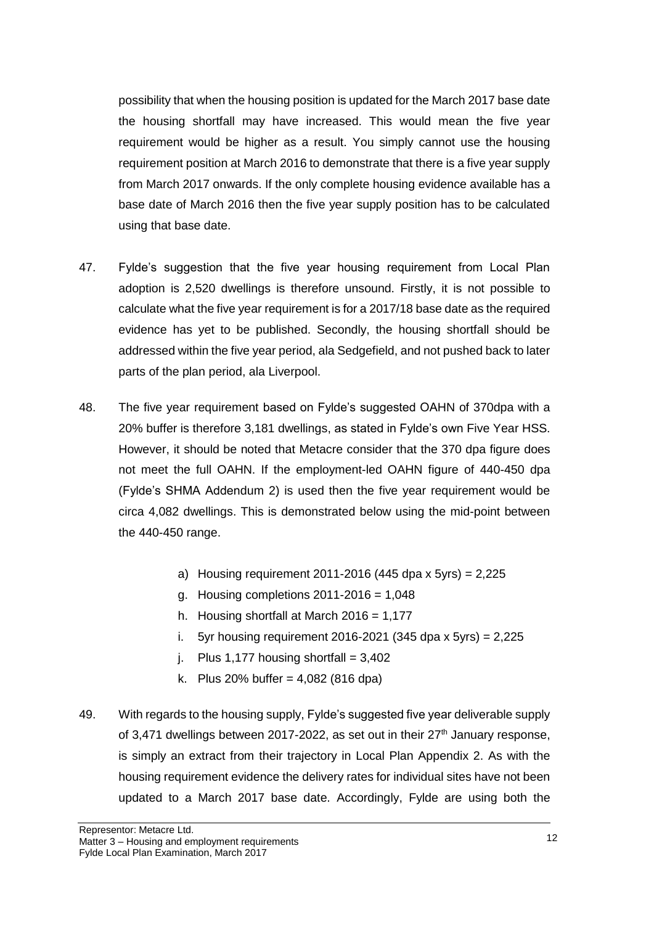possibility that when the housing position is updated for the March 2017 base date the housing shortfall may have increased. This would mean the five year requirement would be higher as a result. You simply cannot use the housing requirement position at March 2016 to demonstrate that there is a five year supply from March 2017 onwards. If the only complete housing evidence available has a base date of March 2016 then the five year supply position has to be calculated using that base date.

- 47. Fylde's suggestion that the five year housing requirement from Local Plan adoption is 2,520 dwellings is therefore unsound. Firstly, it is not possible to calculate what the five year requirement is for a 2017/18 base date as the required evidence has yet to be published. Secondly, the housing shortfall should be addressed within the five year period, ala Sedgefield, and not pushed back to later parts of the plan period, ala Liverpool.
- 48. The five year requirement based on Fylde's suggested OAHN of 370dpa with a 20% buffer is therefore 3,181 dwellings, as stated in Fylde's own Five Year HSS. However, it should be noted that Metacre consider that the 370 dpa figure does not meet the full OAHN. If the employment-led OAHN figure of 440-450 dpa (Fylde's SHMA Addendum 2) is used then the five year requirement would be circa 4,082 dwellings. This is demonstrated below using the mid-point between the 440-450 range.
	- a) Housing requirement  $2011-2016$  (445 dpa x 5yrs) = 2,225
	- g. Housing completions  $2011 2016 = 1,048$
	- h. Housing shortfall at March  $2016 = 1,177$
	- i. 5yr housing requirement 2016-2021 (345 dpa x 5yrs) =  $2,225$
	- i. Plus 1,177 housing shortfall =  $3.402$
	- k. Plus 20% buffer = 4,082 (816 dpa)
- 49. With regards to the housing supply, Fylde's suggested five year deliverable supply of 3,471 dwellings between 2017-2022, as set out in their  $27<sup>th</sup>$  January response, is simply an extract from their trajectory in Local Plan Appendix 2. As with the housing requirement evidence the delivery rates for individual sites have not been updated to a March 2017 base date. Accordingly, Fylde are using both the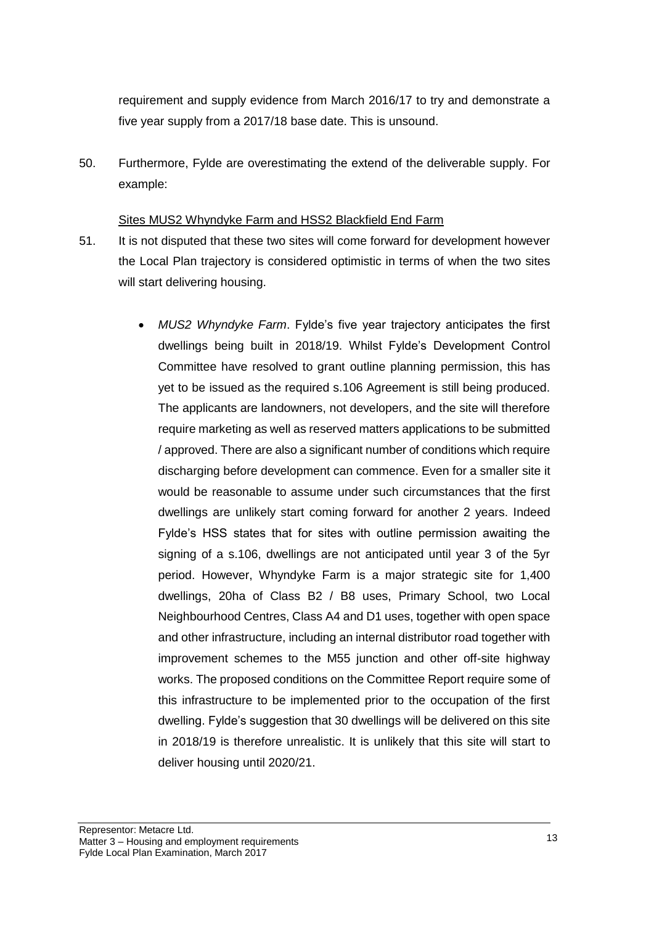requirement and supply evidence from March 2016/17 to try and demonstrate a five year supply from a 2017/18 base date. This is unsound.

50. Furthermore, Fylde are overestimating the extend of the deliverable supply. For example:

#### Sites MUS2 Whyndyke Farm and HSS2 Blackfield End Farm

- 51. It is not disputed that these two sites will come forward for development however the Local Plan trajectory is considered optimistic in terms of when the two sites will start delivering housing.
	- *MUS2 Whyndyke Farm*. Fylde's five year trajectory anticipates the first dwellings being built in 2018/19. Whilst Fylde's Development Control Committee have resolved to grant outline planning permission, this has yet to be issued as the required s.106 Agreement is still being produced. The applicants are landowners, not developers, and the site will therefore require marketing as well as reserved matters applications to be submitted / approved. There are also a significant number of conditions which require discharging before development can commence. Even for a smaller site it would be reasonable to assume under such circumstances that the first dwellings are unlikely start coming forward for another 2 years. Indeed Fylde's HSS states that for sites with outline permission awaiting the signing of a s.106, dwellings are not anticipated until year 3 of the 5yr period. However, Whyndyke Farm is a major strategic site for 1,400 dwellings, 20ha of Class B2 / B8 uses, Primary School, two Local Neighbourhood Centres, Class A4 and D1 uses, together with open space and other infrastructure, including an internal distributor road together with improvement schemes to the M55 junction and other off-site highway works. The proposed conditions on the Committee Report require some of this infrastructure to be implemented prior to the occupation of the first dwelling. Fylde's suggestion that 30 dwellings will be delivered on this site in 2018/19 is therefore unrealistic. It is unlikely that this site will start to deliver housing until 2020/21.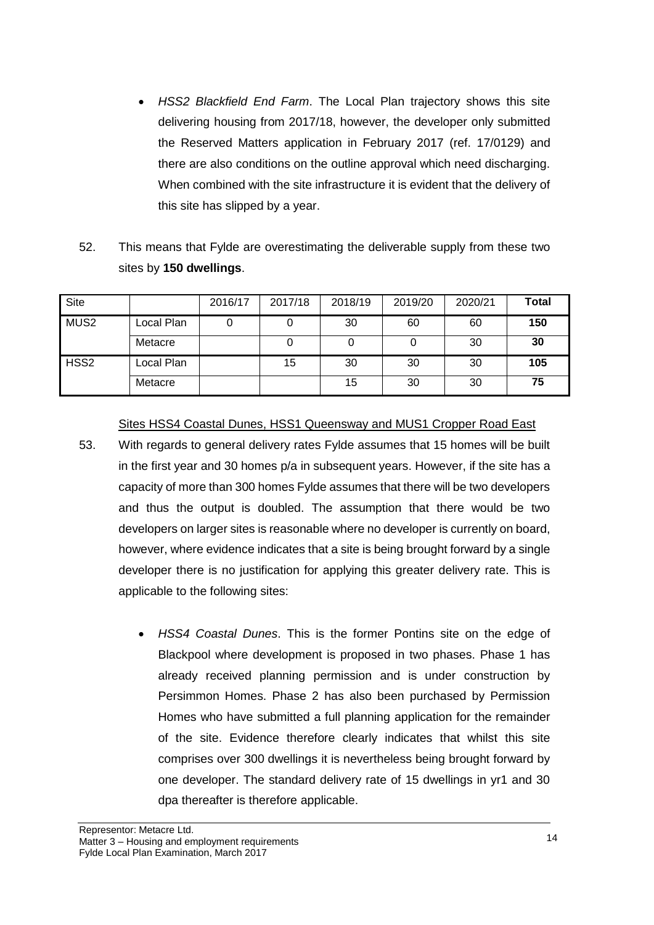- *HSS2 Blackfield End Farm*. The Local Plan trajectory shows this site delivering housing from 2017/18, however, the developer only submitted the Reserved Matters application in February 2017 (ref. 17/0129) and there are also conditions on the outline approval which need discharging. When combined with the site infrastructure it is evident that the delivery of this site has slipped by a year.
- 52. This means that Fylde are overestimating the deliverable supply from these two sites by **150 dwellings**.

| Site             |            | 2016/17 | 2017/18 | 2018/19 | 2019/20 | 2020/21 | Total |
|------------------|------------|---------|---------|---------|---------|---------|-------|
| MUS <sub>2</sub> | Local Plan |         |         | 30      | 60      | 60      | 150   |
|                  | Metacre    |         |         | 0       |         | 30      | 30    |
| HSS <sub>2</sub> | Local Plan |         | 15      | 30      | 30      | 30      | 105   |
|                  | Metacre    |         |         | 15      | 30      | 30      | 75    |

Sites HSS4 Coastal Dunes, HSS1 Queensway and MUS1 Cropper Road East

- 53. With regards to general delivery rates Fylde assumes that 15 homes will be built in the first year and 30 homes p/a in subsequent years. However, if the site has a capacity of more than 300 homes Fylde assumes that there will be two developers and thus the output is doubled. The assumption that there would be two developers on larger sites is reasonable where no developer is currently on board, however, where evidence indicates that a site is being brought forward by a single developer there is no justification for applying this greater delivery rate. This is applicable to the following sites:
	- *HSS4 Coastal Dunes*. This is the former Pontins site on the edge of Blackpool where development is proposed in two phases. Phase 1 has already received planning permission and is under construction by Persimmon Homes. Phase 2 has also been purchased by Permission Homes who have submitted a full planning application for the remainder of the site. Evidence therefore clearly indicates that whilst this site comprises over 300 dwellings it is nevertheless being brought forward by one developer. The standard delivery rate of 15 dwellings in yr1 and 30 dpa thereafter is therefore applicable.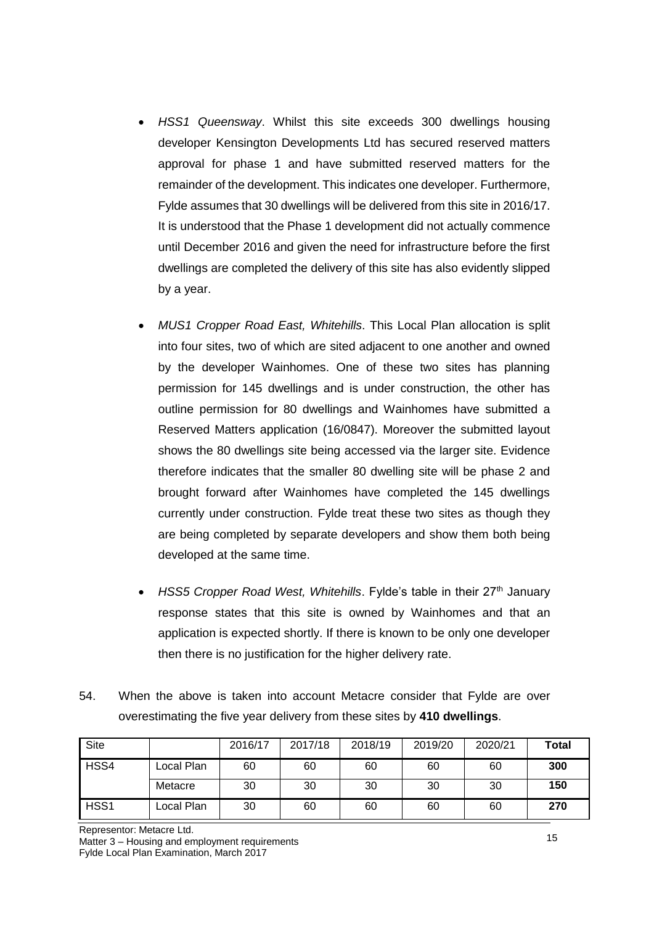- *HSS1 Queensway*. Whilst this site exceeds 300 dwellings housing developer Kensington Developments Ltd has secured reserved matters approval for phase 1 and have submitted reserved matters for the remainder of the development. This indicates one developer. Furthermore, Fylde assumes that 30 dwellings will be delivered from this site in 2016/17. It is understood that the Phase 1 development did not actually commence until December 2016 and given the need for infrastructure before the first dwellings are completed the delivery of this site has also evidently slipped by a year.
- *MUS1 Cropper Road East, Whitehills*. This Local Plan allocation is split into four sites, two of which are sited adjacent to one another and owned by the developer Wainhomes. One of these two sites has planning permission for 145 dwellings and is under construction, the other has outline permission for 80 dwellings and Wainhomes have submitted a Reserved Matters application (16/0847). Moreover the submitted layout shows the 80 dwellings site being accessed via the larger site. Evidence therefore indicates that the smaller 80 dwelling site will be phase 2 and brought forward after Wainhomes have completed the 145 dwellings currently under construction. Fylde treat these two sites as though they are being completed by separate developers and show them both being developed at the same time.
- *HSS5 Cropper Road West, Whitehills. Fylde's table in their 27<sup>th</sup> January* response states that this site is owned by Wainhomes and that an application is expected shortly. If there is known to be only one developer then there is no justification for the higher delivery rate.
- 54. When the above is taken into account Metacre consider that Fylde are over overestimating the five year delivery from these sites by **410 dwellings**.

| Site             |            | 2016/17 | 2017/18 | 2018/19 | 2019/20 | 2020/21 | Total |
|------------------|------------|---------|---------|---------|---------|---------|-------|
| HSS4             | Local Plan | 60      | 60      | 60      | 60      | 60      | 300   |
|                  | Metacre    | 30      | 30      | 30      | 30      | 30      | 150   |
| HSS <sub>1</sub> | Local Plan | 30      | 60      | 60      | 60      | 60      | 270   |

Representor: Metacre Ltd. Matter 3 – Housing and employment requirements Fylde Local Plan Examination, March 2017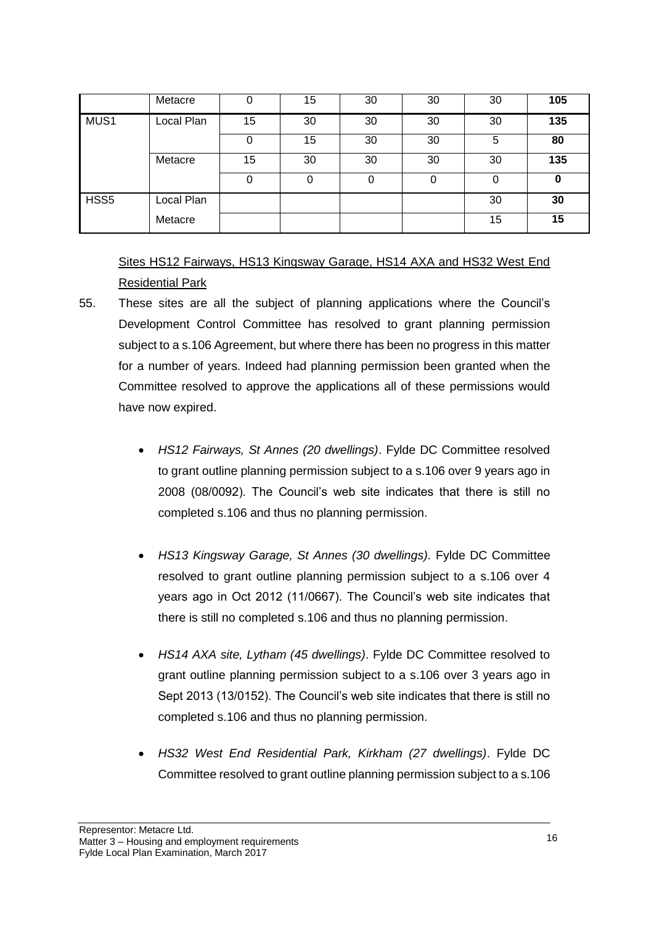|                  | Metacre    |    | 15 | 30 | 30 | 30 | 105 |
|------------------|------------|----|----|----|----|----|-----|
| MUS1             | Local Plan | 15 | 30 | 30 | 30 | 30 | 135 |
|                  |            | 0  | 15 | 30 | 30 | 5  | 80  |
|                  | Metacre    | 15 | 30 | 30 | 30 | 30 | 135 |
|                  |            |    | 0  | 0  | 0  |    | 0   |
| HSS <sub>5</sub> | Local Plan |    |    |    |    | 30 | 30  |
|                  | Metacre    |    |    |    |    | 15 | 15  |

# Sites HS12 Fairways, HS13 Kingsway Garage, HS14 AXA and HS32 West End Residential Park

- 55. These sites are all the subject of planning applications where the Council's Development Control Committee has resolved to grant planning permission subject to a s.106 Agreement, but where there has been no progress in this matter for a number of years. Indeed had planning permission been granted when the Committee resolved to approve the applications all of these permissions would have now expired.
	- *HS12 Fairways, St Annes (20 dwellings)*. Fylde DC Committee resolved to grant outline planning permission subject to a s.106 over 9 years ago in 2008 (08/0092). The Council's web site indicates that there is still no completed s.106 and thus no planning permission.
	- *HS13 Kingsway Garage, St Annes (30 dwellings).* Fylde DC Committee resolved to grant outline planning permission subject to a s.106 over 4 years ago in Oct 2012 (11/0667). The Council's web site indicates that there is still no completed s.106 and thus no planning permission.
	- *HS14 AXA site, Lytham (45 dwellings)*. Fylde DC Committee resolved to grant outline planning permission subject to a s.106 over 3 years ago in Sept 2013 (13/0152). The Council's web site indicates that there is still no completed s.106 and thus no planning permission.
	- *HS32 West End Residential Park, Kirkham (27 dwellings)*. Fylde DC Committee resolved to grant outline planning permission subject to a s.106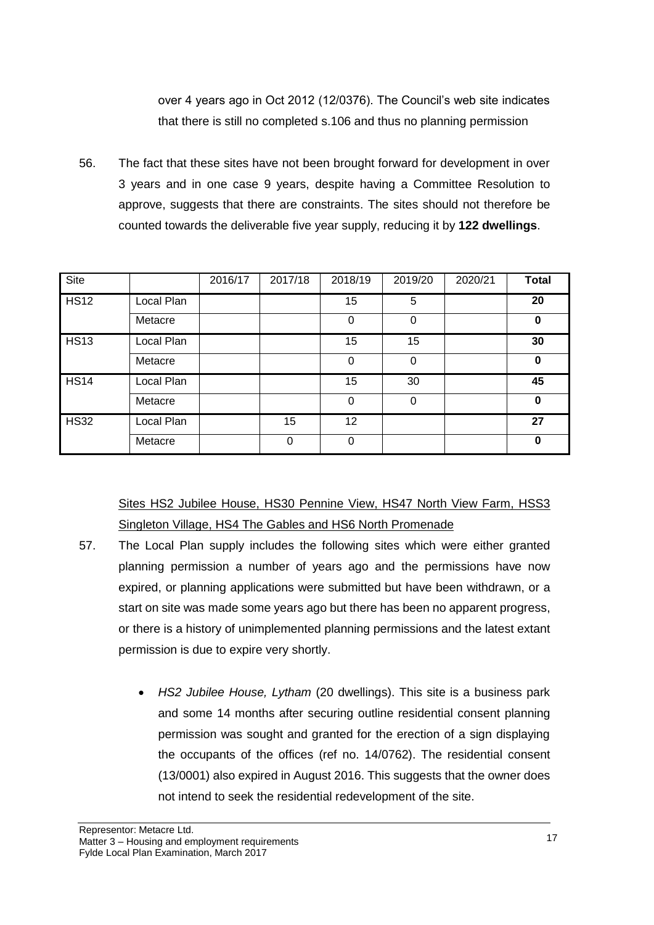over 4 years ago in Oct 2012 (12/0376). The Council's web site indicates that there is still no completed s.106 and thus no planning permission

56. The fact that these sites have not been brought forward for development in over 3 years and in one case 9 years, despite having a Committee Resolution to approve, suggests that there are constraints. The sites should not therefore be counted towards the deliverable five year supply, reducing it by **122 dwellings**.

| Site        |            | 2016/17 | 2017/18 | 2018/19  | 2019/20  | 2020/21 | <b>Total</b> |
|-------------|------------|---------|---------|----------|----------|---------|--------------|
| <b>HS12</b> | Local Plan |         |         | 15       | 5        |         | 20           |
|             | Metacre    |         |         | $\Omega$ | $\Omega$ |         | 0            |
| <b>HS13</b> | Local Plan |         |         | 15       | 15       |         | 30           |
|             | Metacre    |         |         | 0        | 0        |         | 0            |
| <b>HS14</b> | Local Plan |         |         | 15       | 30       |         | 45           |
|             | Metacre    |         |         | $\Omega$ | 0        |         | 0            |
| <b>HS32</b> | Local Plan |         | 15      | 12       |          |         | 27           |
|             | Metacre    |         | 0       | 0        |          |         | 0            |

Sites HS2 Jubilee House, HS30 Pennine View, HS47 North View Farm, HSS3 Singleton Village, HS4 The Gables and HS6 North Promenade

- 57. The Local Plan supply includes the following sites which were either granted planning permission a number of years ago and the permissions have now expired, or planning applications were submitted but have been withdrawn, or a start on site was made some years ago but there has been no apparent progress, or there is a history of unimplemented planning permissions and the latest extant permission is due to expire very shortly.
	- *HS2 Jubilee House, Lytham* (20 dwellings). This site is a business park and some 14 months after securing outline residential consent planning permission was sought and granted for the erection of a sign displaying the occupants of the offices (ref no. 14/0762). The residential consent (13/0001) also expired in August 2016. This suggests that the owner does not intend to seek the residential redevelopment of the site.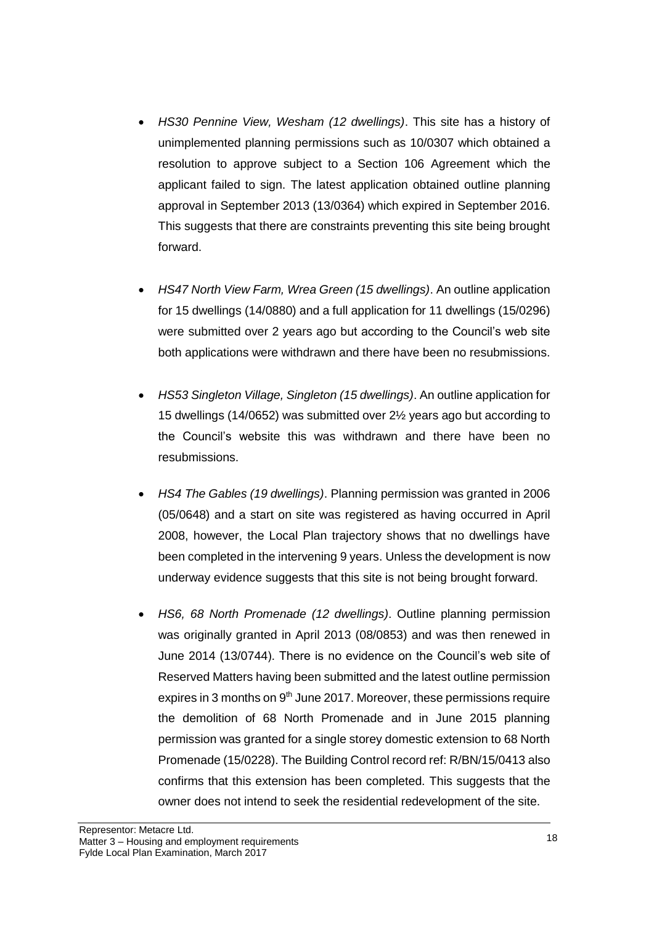- *HS30 Pennine View, Wesham (12 dwellings)*. This site has a history of unimplemented planning permissions such as 10/0307 which obtained a resolution to approve subject to a Section 106 Agreement which the applicant failed to sign. The latest application obtained outline planning approval in September 2013 (13/0364) which expired in September 2016. This suggests that there are constraints preventing this site being brought forward.
- *HS47 North View Farm, Wrea Green (15 dwellings)*. An outline application for 15 dwellings (14/0880) and a full application for 11 dwellings (15/0296) were submitted over 2 years ago but according to the Council's web site both applications were withdrawn and there have been no resubmissions.
- *HS53 Singleton Village, Singleton (15 dwellings)*. An outline application for 15 dwellings (14/0652) was submitted over 2½ years ago but according to the Council's website this was withdrawn and there have been no resubmissions.
- *HS4 The Gables (19 dwellings)*. Planning permission was granted in 2006 (05/0648) and a start on site was registered as having occurred in April 2008, however, the Local Plan trajectory shows that no dwellings have been completed in the intervening 9 years. Unless the development is now underway evidence suggests that this site is not being brought forward.
- *HS6, 68 North Promenade (12 dwellings)*. Outline planning permission was originally granted in April 2013 (08/0853) and was then renewed in June 2014 (13/0744). There is no evidence on the Council's web site of Reserved Matters having been submitted and the latest outline permission expires in 3 months on  $9<sup>th</sup>$  June 2017. Moreover, these permissions require the demolition of 68 North Promenade and in June 2015 planning permission was granted for a single storey domestic extension to 68 North Promenade (15/0228). The Building Control record ref: R/BN/15/0413 also confirms that this extension has been completed. This suggests that the owner does not intend to seek the residential redevelopment of the site.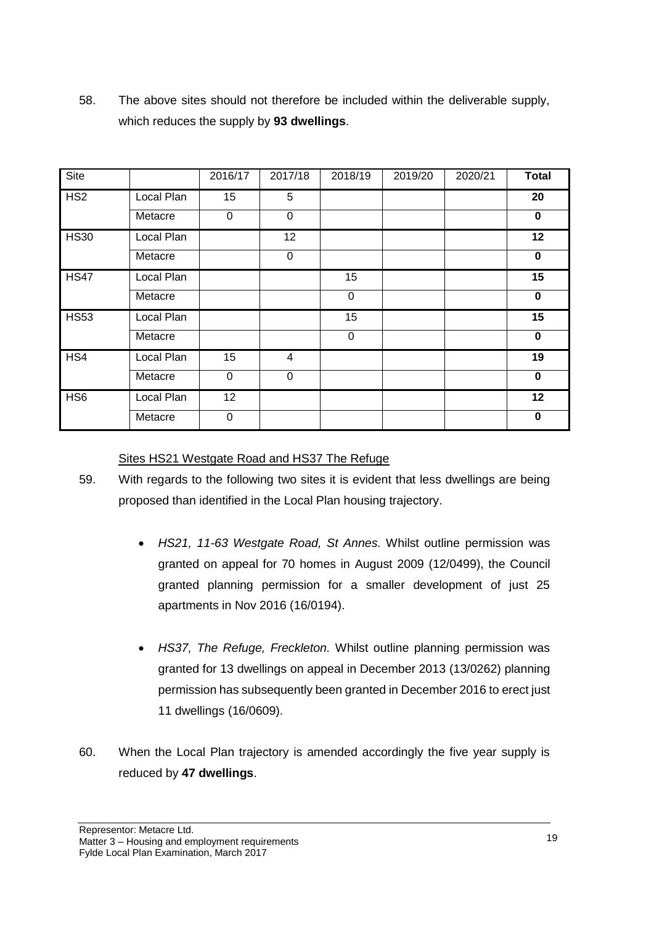| Site            |            | 2016/17     | 2017/18     | 2018/19     | 2019/20 | 2020/21 | <b>Total</b> |
|-----------------|------------|-------------|-------------|-------------|---------|---------|--------------|
|                 |            |             |             |             |         |         |              |
| HS <sub>2</sub> | Local Plan | 15          | 5           |             |         |         | 20           |
|                 | Metacre    | $\mathbf 0$ | $\mathbf 0$ |             |         |         | $\mathbf 0$  |
| <b>HS30</b>     | Local Plan |             | 12          |             |         |         | 12           |
|                 | Metacre    |             | 0           |             |         |         | $\bf{0}$     |
| <b>HS47</b>     | Local Plan |             |             | 15          |         |         | 15           |
|                 | Metacre    |             |             | $\mathbf 0$ |         |         | $\mathbf 0$  |
| <b>HS53</b>     | Local Plan |             |             | 15          |         |         | 15           |
|                 | Metacre    |             |             | $\mathbf 0$ |         |         | $\bf{0}$     |
| HS4             | Local Plan | 15          | 4           |             |         |         | 19           |
|                 | Metacre    | $\mathbf 0$ | $\mathbf 0$ |             |         |         | $\bf{0}$     |
| HS <sub>6</sub> | Local Plan | 12          |             |             |         |         | 12           |
|                 | Metacre    | 0           |             |             |         |         | 0            |

58. The above sites should not therefore be included within the deliverable supply, which reduces the supply by **93 dwellings**.

### Sites HS21 Westgate Road and HS37 The Refuge

- 59. With regards to the following two sites it is evident that less dwellings are being proposed than identified in the Local Plan housing trajectory.
	- *HS21, 11-63 Westgate Road, St Annes.* Whilst outline permission was granted on appeal for 70 homes in August 2009 (12/0499), the Council granted planning permission for a smaller development of just 25 apartments in Nov 2016 (16/0194).
	- *HS37, The Refuge, Freckleton.* Whilst outline planning permission was granted for 13 dwellings on appeal in December 2013 (13/0262) planning permission has subsequently been granted in December 2016 to erect just 11 dwellings (16/0609).
- 60. When the Local Plan trajectory is amended accordingly the five year supply is reduced by **47 dwellings**.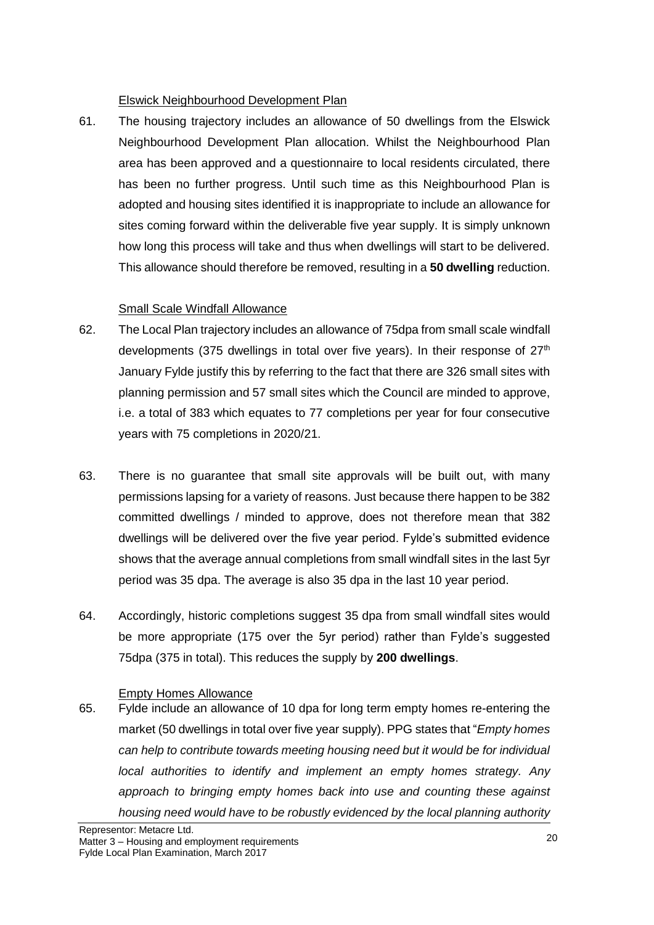## Elswick Neighbourhood Development Plan

61. The housing trajectory includes an allowance of 50 dwellings from the Elswick Neighbourhood Development Plan allocation. Whilst the Neighbourhood Plan area has been approved and a questionnaire to local residents circulated, there has been no further progress. Until such time as this Neighbourhood Plan is adopted and housing sites identified it is inappropriate to include an allowance for sites coming forward within the deliverable five year supply. It is simply unknown how long this process will take and thus when dwellings will start to be delivered. This allowance should therefore be removed, resulting in a **50 dwelling** reduction.

## Small Scale Windfall Allowance

- 62. The Local Plan trajectory includes an allowance of 75dpa from small scale windfall developments (375 dwellings in total over five years). In their response of  $27<sup>th</sup>$ January Fylde justify this by referring to the fact that there are 326 small sites with planning permission and 57 small sites which the Council are minded to approve, i.e. a total of 383 which equates to 77 completions per year for four consecutive years with 75 completions in 2020/21.
- 63. There is no guarantee that small site approvals will be built out, with many permissions lapsing for a variety of reasons. Just because there happen to be 382 committed dwellings / minded to approve, does not therefore mean that 382 dwellings will be delivered over the five year period. Fylde's submitted evidence shows that the average annual completions from small windfall sites in the last 5yr period was 35 dpa. The average is also 35 dpa in the last 10 year period.
- 64. Accordingly, historic completions suggest 35 dpa from small windfall sites would be more appropriate (175 over the 5yr period) rather than Fylde's suggested 75dpa (375 in total). This reduces the supply by **200 dwellings**.

## Empty Homes Allowance

65. Fylde include an allowance of 10 dpa for long term empty homes re-entering the market (50 dwellings in total over five year supply). PPG states that "*Empty homes can help to contribute towards meeting housing need but it would be for individual local authorities to identify and implement an empty homes strategy. Any approach to bringing empty homes back into use and counting these against housing need would have to be robustly evidenced by the local planning authority*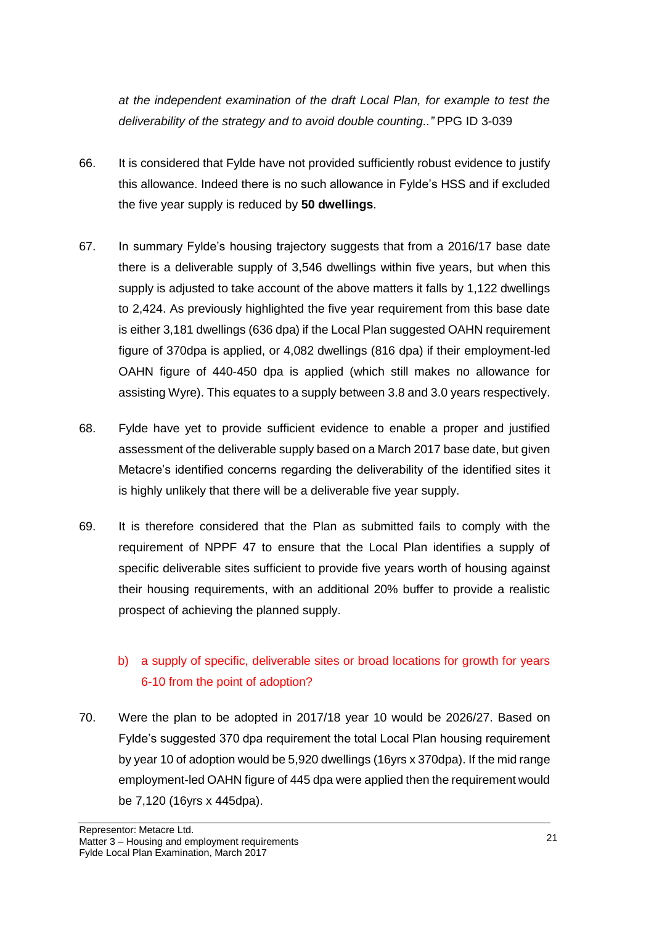*at the independent examination of the draft Local Plan, for example to test the deliverability of the strategy and to avoid double counting.."* PPG ID 3-039

- 66. It is considered that Fylde have not provided sufficiently robust evidence to justify this allowance. Indeed there is no such allowance in Fylde's HSS and if excluded the five year supply is reduced by **50 dwellings**.
- 67. In summary Fylde's housing trajectory suggests that from a 2016/17 base date there is a deliverable supply of 3,546 dwellings within five years, but when this supply is adjusted to take account of the above matters it falls by 1,122 dwellings to 2,424. As previously highlighted the five year requirement from this base date is either 3,181 dwellings (636 dpa) if the Local Plan suggested OAHN requirement figure of 370dpa is applied, or 4,082 dwellings (816 dpa) if their employment-led OAHN figure of 440-450 dpa is applied (which still makes no allowance for assisting Wyre). This equates to a supply between 3.8 and 3.0 years respectively.
- 68. Fylde have yet to provide sufficient evidence to enable a proper and justified assessment of the deliverable supply based on a March 2017 base date, but given Metacre's identified concerns regarding the deliverability of the identified sites it is highly unlikely that there will be a deliverable five year supply.
- 69. It is therefore considered that the Plan as submitted fails to comply with the requirement of NPPF 47 to ensure that the Local Plan identifies a supply of specific deliverable sites sufficient to provide five years worth of housing against their housing requirements, with an additional 20% buffer to provide a realistic prospect of achieving the planned supply.

# b) a supply of specific, deliverable sites or broad locations for growth for years 6-10 from the point of adoption?

70. Were the plan to be adopted in 2017/18 year 10 would be 2026/27. Based on Fylde's suggested 370 dpa requirement the total Local Plan housing requirement by year 10 of adoption would be 5,920 dwellings (16yrs x 370dpa). If the mid range employment-led OAHN figure of 445 dpa were applied then the requirement would be 7,120 (16yrs x 445dpa).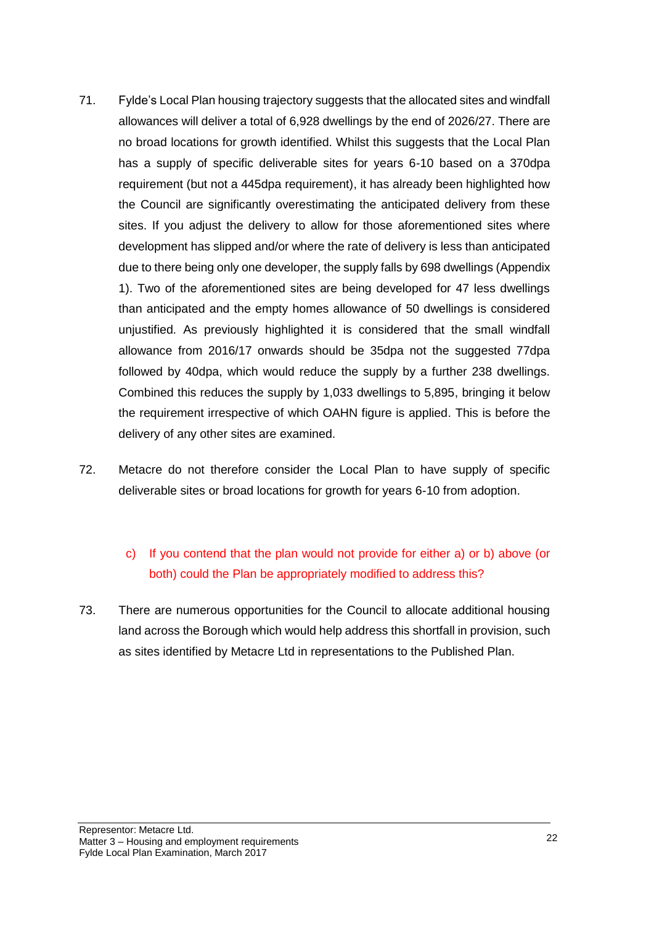- 71. Fylde's Local Plan housing trajectory suggests that the allocated sites and windfall allowances will deliver a total of 6,928 dwellings by the end of 2026/27. There are no broad locations for growth identified. Whilst this suggests that the Local Plan has a supply of specific deliverable sites for years 6-10 based on a 370dpa requirement (but not a 445dpa requirement), it has already been highlighted how the Council are significantly overestimating the anticipated delivery from these sites. If you adjust the delivery to allow for those aforementioned sites where development has slipped and/or where the rate of delivery is less than anticipated due to there being only one developer, the supply falls by 698 dwellings (Appendix 1). Two of the aforementioned sites are being developed for 47 less dwellings than anticipated and the empty homes allowance of 50 dwellings is considered unjustified. As previously highlighted it is considered that the small windfall allowance from 2016/17 onwards should be 35dpa not the suggested 77dpa followed by 40dpa, which would reduce the supply by a further 238 dwellings. Combined this reduces the supply by 1,033 dwellings to 5,895, bringing it below the requirement irrespective of which OAHN figure is applied. This is before the delivery of any other sites are examined.
- 72. Metacre do not therefore consider the Local Plan to have supply of specific deliverable sites or broad locations for growth for years 6-10 from adoption.

# c) If you contend that the plan would not provide for either a) or b) above (or both) could the Plan be appropriately modified to address this?

73. There are numerous opportunities for the Council to allocate additional housing land across the Borough which would help address this shortfall in provision, such as sites identified by Metacre Ltd in representations to the Published Plan.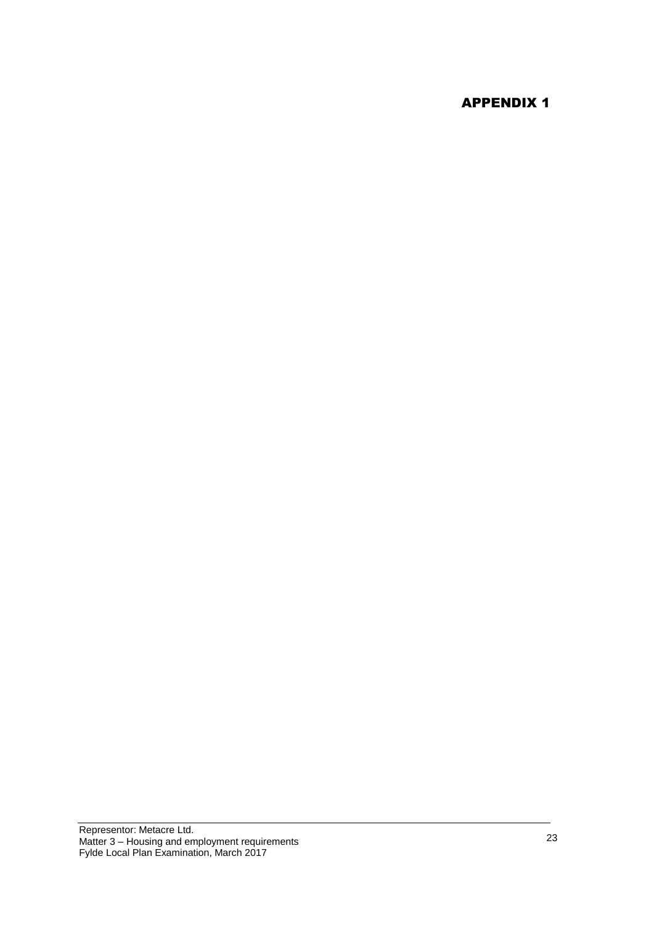# APPENDIX 1